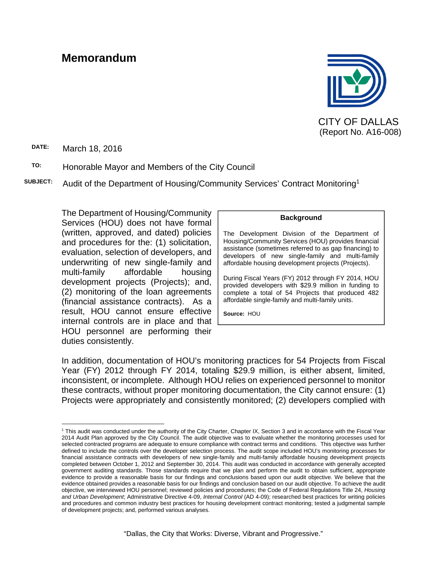# **Memorandum**



CITY OF DALLAS (Report No. A16-008)

**DATE:** March 18, 2016

 $\overline{a}$ 

#### **TO:** Honorable Mayor and Members of the City Council

**SUBJECT:** Audit of the Department of Housing/Community Services' Contract Monitoring1

The Department of Housing/Community Services (HOU) does not have formal (written, approved, and dated) policies and procedures for the: (1) solicitation, evaluation, selection of developers, and underwriting of new single-family and multi-family affordable housing development projects (Projects); and, (2) monitoring of the loan agreements (financial assistance contracts). As a result, HOU cannot ensure effective internal controls are in place and that HOU personnel are performing their duties consistently.

#### **Background**

The Development Division of the Department of Housing/Community Services (HOU) provides financial assistance (sometimes referred to as gap financing) to developers of new single-family and multi-family affordable housing development projects (Projects).

During Fiscal Years (FY) 2012 through FY 2014, HOU provided developers with \$29.9 million in funding to complete a total of 54 Projects that produced 482 affordable single-family and multi-family units.

**Source:** HOU

In addition, documentation of HOU's monitoring practices for 54 Projects from Fiscal Year (FY) 2012 through FY 2014, totaling \$29.9 million, is either absent, limited, inconsistent, or incomplete. Although HOU relies on experienced personnel to monitor these contracts, without proper monitoring documentation, the City cannot ensure: (1) Projects were appropriately and consistently monitored; (2) developers complied with

<sup>1</sup> This audit was conducted under the authority of the City Charter, Chapter IX, Section 3 and in accordance with the Fiscal Year 2014 Audit Plan approved by the City Council. The audit objective was to evaluate whether the monitoring processes used for selected contracted programs are adequate to ensure compliance with contract terms and conditions. This objective was further defined to include the controls over the developer selection process. The audit scope included HOU's monitoring processes for financial assistance contracts with developers of new single-family and multi-family affordable housing development projects completed between October 1, 2012 and September 30, 2014. This audit was conducted in accordance with generally accepted government auditing standards. Those standards require that we plan and perform the audit to obtain sufficient, appropriate evidence to provide a reasonable basis for our findings and conclusions based upon our audit objective. We believe that the evidence obtained provides a reasonable basis for our findings and conclusion based on our audit objective. To achieve the audit objective, we interviewed HOU personnel; reviewed policies and procedures; the Code of Federal Regulations Title 24, *Housing and Urban Development*; Administrative Directive 4-09, *Internal Control* (AD 4-09); researched best practices for writing policies and procedures and common industry best practices for housing development contract monitoring; tested a judgmental sample of development projects; and, performed various analyses.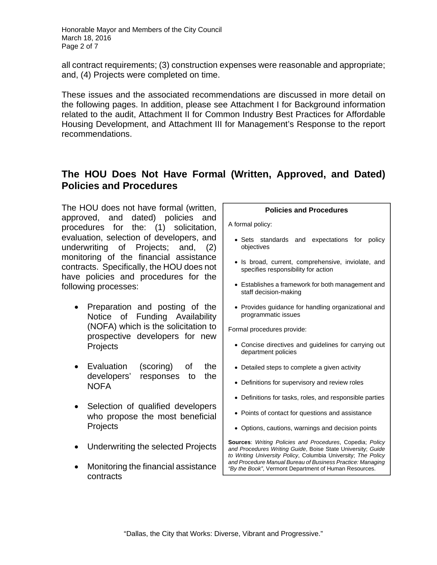Honorable Mayor and Members of the City Council March 18, 2016 Page 2 of 7

all contract requirements; (3) construction expenses were reasonable and appropriate; and, (4) Projects were completed on time.

These issues and the associated recommendations are discussed in more detail on the following pages. In addition, please see Attachment I for Background information related to the audit, Attachment II for Common Industry Best Practices for Affordable Housing Development, and Attachment III for Management's Response to the report recommendations.

## **The HOU Does Not Have Formal (Written, Approved, and Dated) Policies and Procedures**

The HOU does not have formal (written, approved, and dated) policies and procedures for the: (1) solicitation, evaluation, selection of developers, and underwriting of Projects; and, (2) monitoring of the financial assistance contracts. Specifically, the HOU does not have policies and procedures for the following processes:

- Preparation and posting of the Notice of Funding Availability (NOFA) which is the solicitation to prospective developers for new **Projects**
- Evaluation (scoring) of the developers' responses to the **NOFA**
- Selection of qualified developers who propose the most beneficial **Projects**
- Underwriting the selected Projects
- Monitoring the financial assistance contracts

#### **Policies and Procedures**

A formal policy:

- Sets standards and expectations for policy objectives
- Is broad, current, comprehensive, inviolate, and specifies responsibility for action
- Establishes a framework for both management and staff decision-making
- Provides guidance for handling organizational and programmatic issues

Formal procedures provide:

- Concise directives and guidelines for carrying out department policies
- Detailed steps to complete a given activity
- Definitions for supervisory and review roles
- Definitions for tasks, roles, and responsible parties
- Points of contact for questions and assistance
- Options, cautions, warnings and decision points

**Sources**: *Writing Policies and Procedures*, Copedia; *Policy and Procedures Writing Guide*, Boise State University; *Guide to Writing University Policy*, Columbia University; *The Policy and Procedure Manual Bureau of Business Practice: Managing "By the Book"*, Vermont Department of Human Resources.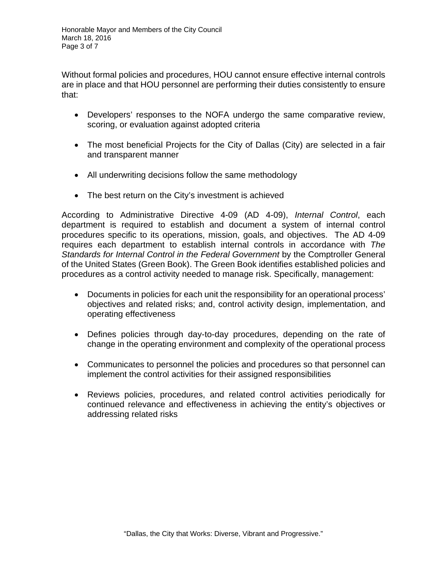Without formal policies and procedures, HOU cannot ensure effective internal controls are in place and that HOU personnel are performing their duties consistently to ensure that:

- Developers' responses to the NOFA undergo the same comparative review, scoring, or evaluation against adopted criteria
- The most beneficial Projects for the City of Dallas (City) are selected in a fair and transparent manner
- All underwriting decisions follow the same methodology
- The best return on the City's investment is achieved

According to Administrative Directive 4-09 (AD 4-09), *Internal Control*, each department is required to establish and document a system of internal control procedures specific to its operations, mission, goals, and objectives. The AD 4-09 requires each department to establish internal controls in accordance with *The Standards for Internal Control in the Federal Government* by the Comptroller General of the United States (Green Book). The Green Book identifies established policies and procedures as a control activity needed to manage risk. Specifically, management:

- Documents in policies for each unit the responsibility for an operational process' objectives and related risks; and, control activity design, implementation, and operating effectiveness
- Defines policies through day-to-day procedures, depending on the rate of change in the operating environment and complexity of the operational process
- Communicates to personnel the policies and procedures so that personnel can implement the control activities for their assigned responsibilities
- Reviews policies, procedures, and related control activities periodically for continued relevance and effectiveness in achieving the entity's objectives or addressing related risks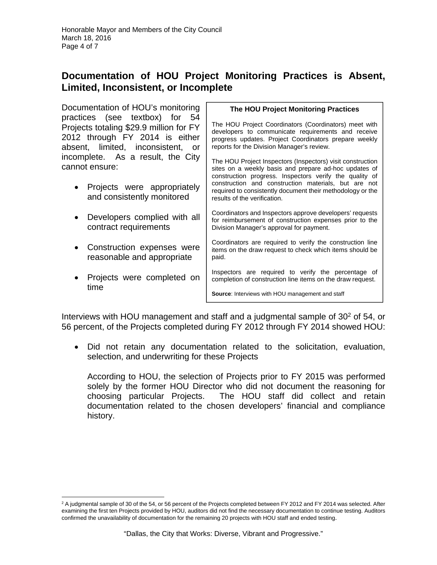## **Documentation of HOU Project Monitoring Practices is Absent, Limited, Inconsistent, or Incomplete**

Documentation of HOU's monitoring practices (see textbox) for 54 Projects totaling \$29.9 million for FY 2012 through FY 2014 is either absent, limited, inconsistent, or incomplete. As a result, the City cannot ensure:

- Projects were appropriately and consistently monitored
- Developers complied with all contract requirements
- Construction expenses were reasonable and appropriate
- Projects were completed on time

 $\overline{a}$ 

#### **The HOU Project Monitoring Practices**

The HOU Project Coordinators (Coordinators) meet with developers to communicate requirements and receive progress updates. Project Coordinators prepare weekly reports for the Division Manager's review.

The HOU Project Inspectors (Inspectors) visit construction sites on a weekly basis and prepare ad-hoc updates of construction progress. Inspectors verify the quality of construction and construction materials, but are not required to consistently document their methodology or the results of the verification.

Coordinators and Inspectors approve developers' requests for reimbursement of construction expenses prior to the Division Manager's approval for payment.

Coordinators are required to verify the construction line items on the draw request to check which items should be paid.

Inspectors are required to verify the percentage of completion of construction line items on the draw request.

**Source**: Interviews with HOU management and staff

Interviews with HOU management and staff and a judgmental sample of  $30<sup>2</sup>$  of 54, or 56 percent, of the Projects completed during FY 2012 through FY 2014 showed HOU:

 Did not retain any documentation related to the solicitation, evaluation, selection, and underwriting for these Projects

According to HOU, the selection of Projects prior to FY 2015 was performed solely by the former HOU Director who did not document the reasoning for choosing particular Projects. The HOU staff did collect and retain documentation related to the chosen developers' financial and compliance history.

<sup>&</sup>lt;sup>2</sup> A judgmental sample of 30 of the 54, or 56 percent of the Projects completed between FY 2012 and FY 2014 was selected. After examining the first ten Projects provided by HOU, auditors did not find the necessary documentation to continue testing. Auditors confirmed the unavailability of documentation for the remaining 20 projects with HOU staff and ended testing.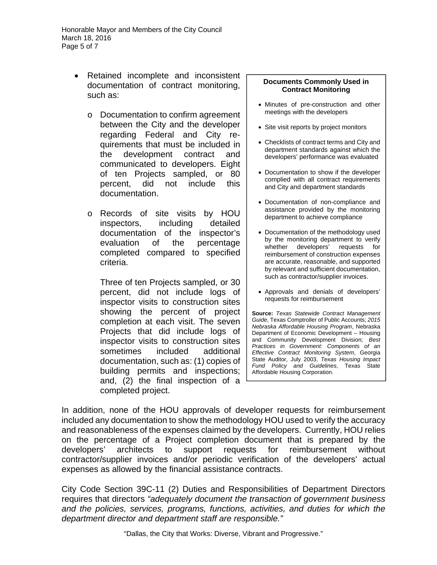- Retained incomplete and inconsistent documentation of contract monitoring, such as:
	- o Documentation to confirm agreement between the City and the developer regarding Federal and City requirements that must be included in the development contract and communicated to developers. Eight of ten Projects sampled, or 80 percent, did not include this documentation.
	- o Records of site visits by HOU inspectors, including detailed documentation of the inspector's evaluation of the percentage completed compared to specified criteria.

Three of ten Projects sampled, or 30 percent, did not include logs of inspector visits to construction sites showing the percent of project completion at each visit. The seven Projects that did include logs of inspector visits to construction sites sometimes included additional documentation, such as: (1) copies of building permits and inspections; and, (2) the final inspection of a completed project.

#### **Documents Commonly Used in Contract Monitoring**

- Minutes of pre-construction and other meetings with the developers
- Site visit reports by project monitors
- Checklists of contract terms and City and department standards against which the developers' performance was evaluated
- Documentation to show if the developer complied with all contract requirements and City and department standards
- Documentation of non-compliance and assistance provided by the monitoring department to achieve compliance
- Documentation of the methodology used by the monitoring department to verify whether developers' requests for reimbursement of construction expenses are accurate, reasonable, and supported by relevant and sufficient documentation, such as contractor/supplier invoices.
- Approvals and denials of developers' requests for reimbursement

**Source:** *Texas Statewide Contract Management Guide*, Texas Comptroller of Public Accounts; *2015 Nebraska Affordable Housing Program*, Nebraska Department of Economic Development – Housing and Community Development Division; *Best Practices in Government: Components of an Effective Contract Monitoring System*, Georgia State Auditor, July 2003, *Texas Housing Impact Fund Policy and Guidelines*, Texas State Affordable Housing Corporation.

In addition, none of the HOU approvals of developer requests for reimbursement included any documentation to show the methodology HOU used to verify the accuracy and reasonableness of the expenses claimed by the developers. Currently, HOU relies on the percentage of a Project completion document that is prepared by the developers' architects to support requests for reimbursement without contractor/supplier invoices and/or periodic verification of the developers' actual expenses as allowed by the financial assistance contracts.

City Code Section 39C-11 (2) Duties and Responsibilities of Department Directors requires that directors *"adequately document the transaction of government business and the policies, services, programs, functions, activities, and duties for which the department director and department staff are responsible."*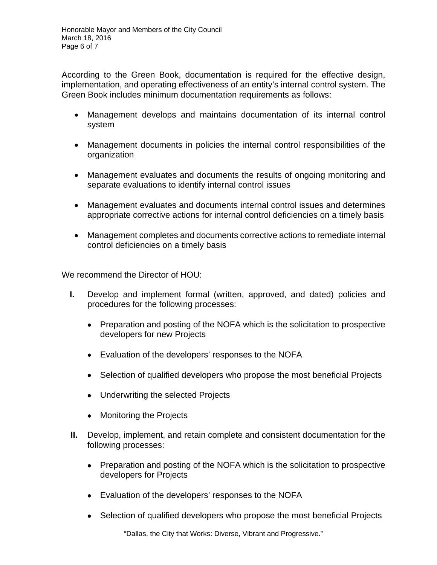According to the Green Book, documentation is required for the effective design, implementation, and operating effectiveness of an entity's internal control system. The Green Book includes minimum documentation requirements as follows:

- Management develops and maintains documentation of its internal control system
- Management documents in policies the internal control responsibilities of the organization
- Management evaluates and documents the results of ongoing monitoring and separate evaluations to identify internal control issues
- Management evaluates and documents internal control issues and determines appropriate corrective actions for internal control deficiencies on a timely basis
- Management completes and documents corrective actions to remediate internal control deficiencies on a timely basis

We recommend the Director of HOU:

- **I.** Develop and implement formal (written, approved, and dated) policies and procedures for the following processes:
	- Preparation and posting of the NOFA which is the solicitation to prospective developers for new Projects
	- Evaluation of the developers' responses to the NOFA
	- Selection of qualified developers who propose the most beneficial Projects
	- Underwriting the selected Projects
	- Monitoring the Projects
- **II.** Develop, implement, and retain complete and consistent documentation for the following processes:
	- Preparation and posting of the NOFA which is the solicitation to prospective developers for Projects
	- Evaluation of the developers' responses to the NOFA
	- Selection of qualified developers who propose the most beneficial Projects

"Dallas, the City that Works: Diverse, Vibrant and Progressive."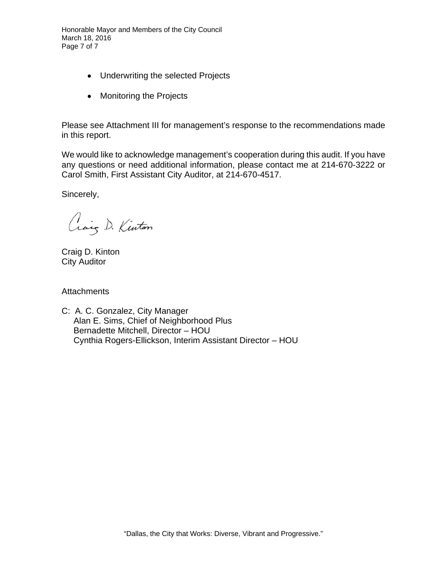Honorable Mayor and Members of the City Council March 18, 2016 Page 7 of 7

- Underwriting the selected Projects
- Monitoring the Projects

Please see Attachment III for management's response to the recommendations made in this report.

We would like to acknowledge management's cooperation during this audit. If you have any questions or need additional information, please contact me at 214-670-3222 or Carol Smith, First Assistant City Auditor, at 214-670-4517.

Sincerely,

Craig D. Kinton

Craig D. Kinton City Auditor

**Attachments** 

C: A. C. Gonzalez, City Manager Alan E. Sims, Chief of Neighborhood Plus Bernadette Mitchell, Director – HOU Cynthia Rogers-Ellickson, Interim Assistant Director – HOU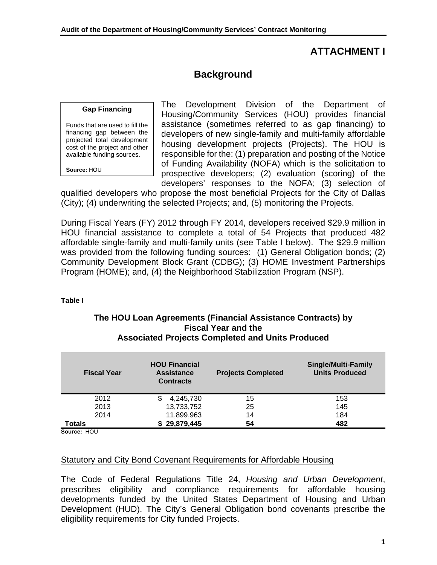### **ATTACHMENT I**

# **Background**

#### **Gap Financing**

Funds that are used to fill the financing gap between the projected total development cost of the project and other available funding sources.

**Source:** HOU

The Development Division of the Department of Housing/Community Services (HOU) provides financial assistance (sometimes referred to as gap financing) to developers of new single-family and multi-family affordable housing development projects (Projects). The HOU is responsible for the: (1) preparation and posting of the Notice of Funding Availability (NOFA) which is the solicitation to prospective developers; (2) evaluation (scoring) of the developers' responses to the NOFA; (3) selection of

qualified developers who propose the most beneficial Projects for the City of Dallas (City); (4) underwriting the selected Projects; and, (5) monitoring the Projects.

During Fiscal Years (FY) 2012 through FY 2014, developers received \$29.9 million in HOU financial assistance to complete a total of 54 Projects that produced 482 affordable single-family and multi-family units (see Table I below). The \$29.9 million was provided from the following funding sources: (1) General Obligation bonds; (2) Community Development Block Grant (CDBG); (3) HOME Investment Partnerships Program (HOME); and, (4) the Neighborhood Stabilization Program (NSP).

#### **Table I**

#### **The HOU Loan Agreements (Financial Assistance Contracts) by Fiscal Year and the Associated Projects Completed and Units Produced**

| <b>HOU Financial</b><br><b>Assistance</b><br><b>Contracts</b> | <b>Projects Completed</b> | <b>Single/Multi-Family</b><br><b>Units Produced</b> |
|---------------------------------------------------------------|---------------------------|-----------------------------------------------------|
| 4,245,730                                                     | 15                        | 153                                                 |
| 13,733,752                                                    | 25                        | 145                                                 |
| 11,899,963                                                    | 14                        | 184                                                 |
| \$29,879,445                                                  | 54                        | 482                                                 |
|                                                               |                           |                                                     |

**Source:** HOU

#### Statutory and City Bond Covenant Requirements for Affordable Housing

The Code of Federal Regulations Title 24, *Housing and Urban Development*, prescribes eligibility and compliance requirements for affordable housing developments funded by the United States Department of Housing and Urban Development (HUD). The City's General Obligation bond covenants prescribe the eligibility requirements for City funded Projects.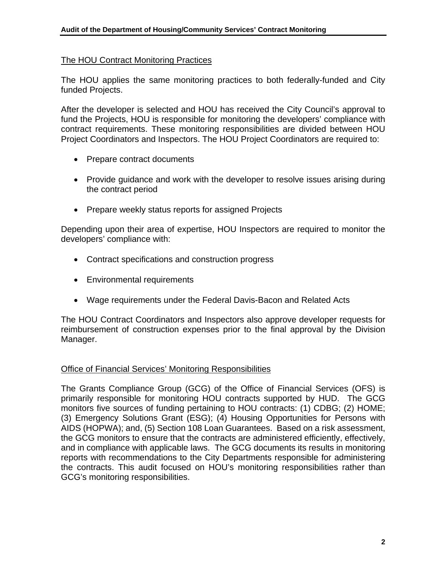### The HOU Contract Monitoring Practices

The HOU applies the same monitoring practices to both federally-funded and City funded Projects.

After the developer is selected and HOU has received the City Council's approval to fund the Projects, HOU is responsible for monitoring the developers' compliance with contract requirements. These monitoring responsibilities are divided between HOU Project Coordinators and Inspectors. The HOU Project Coordinators are required to:

- Prepare contract documents
- Provide guidance and work with the developer to resolve issues arising during the contract period
- Prepare weekly status reports for assigned Projects

Depending upon their area of expertise, HOU Inspectors are required to monitor the developers' compliance with:

- Contract specifications and construction progress
- Environmental requirements
- Wage requirements under the Federal Davis-Bacon and Related Acts

The HOU Contract Coordinators and Inspectors also approve developer requests for reimbursement of construction expenses prior to the final approval by the Division Manager.

### Office of Financial Services' Monitoring Responsibilities

The Grants Compliance Group (GCG) of the Office of Financial Services (OFS) is primarily responsible for monitoring HOU contracts supported by HUD. The GCG monitors five sources of funding pertaining to HOU contracts: (1) CDBG; (2) HOME; (3) Emergency Solutions Grant (ESG); (4) Housing Opportunities for Persons with AIDS (HOPWA); and, (5) Section 108 Loan Guarantees. Based on a risk assessment, the GCG monitors to ensure that the contracts are administered efficiently, effectively, and in compliance with applicable laws. The GCG documents its results in monitoring reports with recommendations to the City Departments responsible for administering the contracts. This audit focused on HOU's monitoring responsibilities rather than GCG's monitoring responsibilities.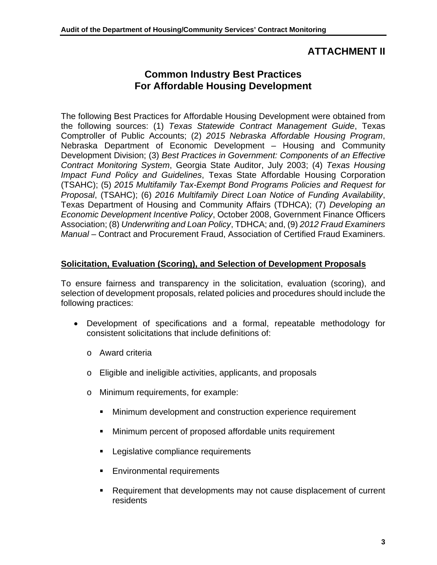### **ATTACHMENT II**

## **Common Industry Best Practices For Affordable Housing Development**

The following Best Practices for Affordable Housing Development were obtained from the following sources: (1) *Texas Statewide Contract Management Guide*, Texas Comptroller of Public Accounts; (2) *2015 Nebraska Affordable Housing Program*, Nebraska Department of Economic Development – Housing and Community Development Division; (3) *Best Practices in Government: Components of an Effective Contract Monitoring System*, Georgia State Auditor, July 2003; (4) *Texas Housing Impact Fund Policy and Guidelines*, Texas State Affordable Housing Corporation (TSAHC); (5) *2015 Multifamily Tax-Exempt Bond Programs Policies and Request for Proposal*, (TSAHC); (6) *2016 Multifamily Direct Loan Notice of Funding Availability*, Texas Department of Housing and Community Affairs (TDHCA); (7) *Developing an Economic Development Incentive Policy*, October 2008, Government Finance Officers Association; (8) *Underwriting and Loan Policy*, TDHCA; and, (9) *2012 Fraud Examiners Manual* – Contract and Procurement Fraud, Association of Certified Fraud Examiners.

### **Solicitation, Evaluation (Scoring), and Selection of Development Proposals**

To ensure fairness and transparency in the solicitation, evaluation (scoring), and selection of development proposals, related policies and procedures should include the following practices:

- Development of specifications and a formal, repeatable methodology for consistent solicitations that include definitions of:
	- o Award criteria
	- o Eligible and ineligible activities, applicants, and proposals
	- o Minimum requirements, for example:
		- **Minimum development and construction experience requirement**
		- **Minimum percent of proposed affordable units requirement**
		- **Legislative compliance requirements**
		- **Environmental requirements**
		- Requirement that developments may not cause displacement of current residents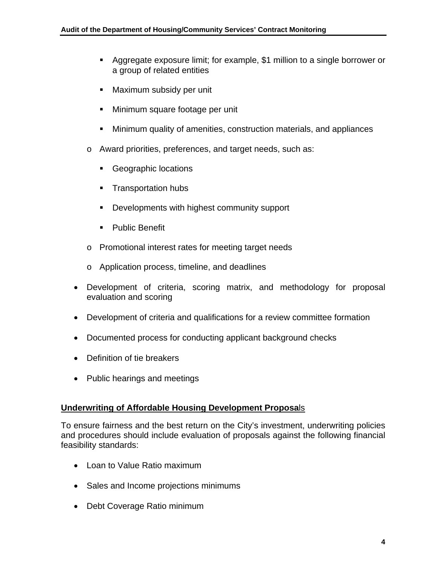- Aggregate exposure limit; for example, \$1 million to a single borrower or a group of related entities
- **Maximum subsidy per unit**
- **Minimum square footage per unit**
- Minimum quality of amenities, construction materials, and appliances
- o Award priorities, preferences, and target needs, such as:
	- **Geographic locations**
	- **Transportation hubs**
	- **Developments with highest community support**
	- **•** Public Benefit
- o Promotional interest rates for meeting target needs
- o Application process, timeline, and deadlines
- Development of criteria, scoring matrix, and methodology for proposal evaluation and scoring
- Development of criteria and qualifications for a review committee formation
- Documented process for conducting applicant background checks
- Definition of tie breakers
- Public hearings and meetings

### **Underwriting of Affordable Housing Development Proposa**ls

To ensure fairness and the best return on the City's investment, underwriting policies and procedures should include evaluation of proposals against the following financial feasibility standards:

- Loan to Value Ratio maximum
- Sales and Income projections minimums
- Debt Coverage Ratio minimum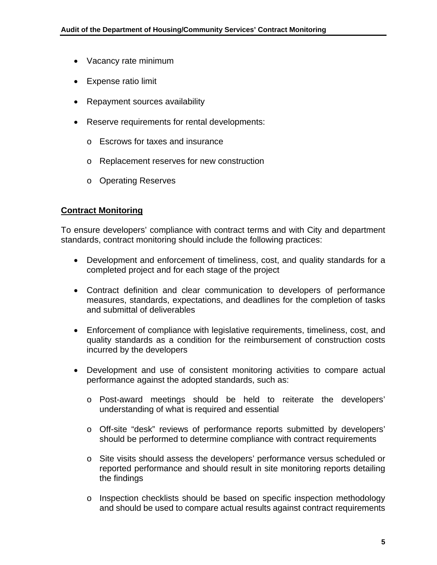- Vacancy rate minimum
- **Expense ratio limit**
- Repayment sources availability
- Reserve requirements for rental developments:
	- o Escrows for taxes and insurance
	- o Replacement reserves for new construction
	- o Operating Reserves

### **Contract Monitoring**

To ensure developers' compliance with contract terms and with City and department standards, contract monitoring should include the following practices:

- Development and enforcement of timeliness, cost, and quality standards for a completed project and for each stage of the project
- Contract definition and clear communication to developers of performance measures, standards, expectations, and deadlines for the completion of tasks and submittal of deliverables
- Enforcement of compliance with legislative requirements, timeliness, cost, and quality standards as a condition for the reimbursement of construction costs incurred by the developers
- Development and use of consistent monitoring activities to compare actual performance against the adopted standards, such as:
	- o Post-award meetings should be held to reiterate the developers' understanding of what is required and essential
	- o Off-site "desk" reviews of performance reports submitted by developers' should be performed to determine compliance with contract requirements
	- o Site visits should assess the developers' performance versus scheduled or reported performance and should result in site monitoring reports detailing the findings
	- o Inspection checklists should be based on specific inspection methodology and should be used to compare actual results against contract requirements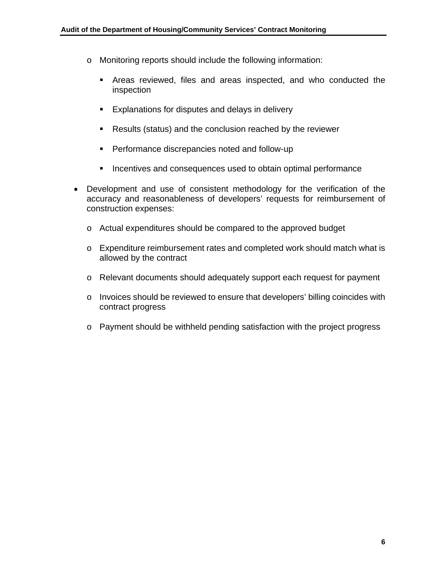- o Monitoring reports should include the following information:
	- Areas reviewed, files and areas inspected, and who conducted the inspection
	- **Explanations for disputes and delays in delivery**
	- Results (status) and the conclusion reached by the reviewer
	- **Performance discrepancies noted and follow-up**
	- **Incentives and consequences used to obtain optimal performance**
- Development and use of consistent methodology for the verification of the accuracy and reasonableness of developers' requests for reimbursement of construction expenses:
	- o Actual expenditures should be compared to the approved budget
	- o Expenditure reimbursement rates and completed work should match what is allowed by the contract
	- o Relevant documents should adequately support each request for payment
	- o Invoices should be reviewed to ensure that developers' billing coincides with contract progress
	- o Payment should be withheld pending satisfaction with the project progress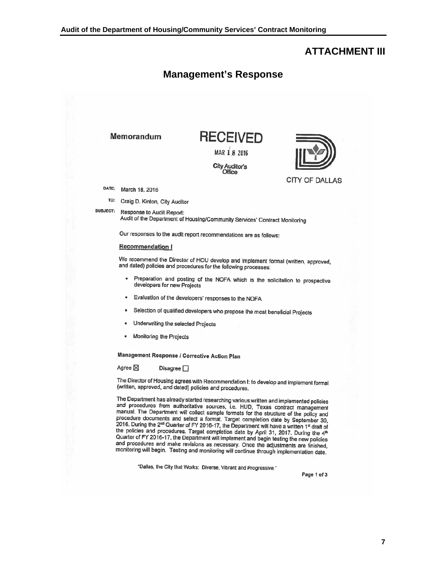### **ATTACHMENT III**



**Management's Response**

"Dallas, the City that Works: Diverse, Vibrant and Progressive."

Page 1 of 3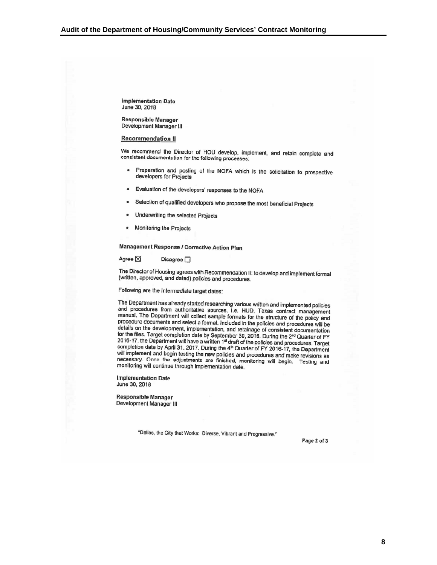**Implementation Date** June 30, 2018

**Responsible Manager** Development Manager III

#### **Recommendation II**

We recommend the Director of HOU develop, implement, and retain complete and consistent documentation for the following processes:

- Preparation and posting of the NOFA which is the solicitation to prospective  $\bullet$ developers for Projects
- Evaluation of the developers' responses to the NOFA ٠
- Selection of qualified developers who propose the most beneficial Projects  $\bullet$
- Underwriting the selected Projects
- Monitoring the Projects  $\bullet$

**Management Response / Corrective Action Plan** 

Agree X Disagree <sub>1</sub>

The Director of Housing agrees with Recommendation II: to develop and implement formal (written, approved, and dated) policies and procedures.

Following are the Intermediate target dates:

The Department has already started researching various written and implemented policies and procedures from authoritative sources, i.e. HUD, Texas contract management manual. The Department will collect sample formats for the structure of the policy and procedure documents and select a format. Included in the policies and procedures will be details on the development, implementation, and retainage of consistent documentation for the files. Target completion date by September 30, 2016. During the 2<sup>nd</sup> Quarter of FY 2016-17, the Department will have a written 1<sup>st</sup> draft of the policies and procedures. Target completion date by April 31, 2017. During the 4<sup>th</sup> Quarter of FY 2016-17, the Department will implement and begin testing the new policies and procedures and make revisions as necessary. Once the adjustments are finished, monitoring will begin. Testing and monitoring will continue through implementation date.

**Implementation Date** June 30, 2018

**Responsible Manager** Development Manager III

"Dallas, the City that Works: Diverse, Vibrant and Progressive."

Page 2 of 3